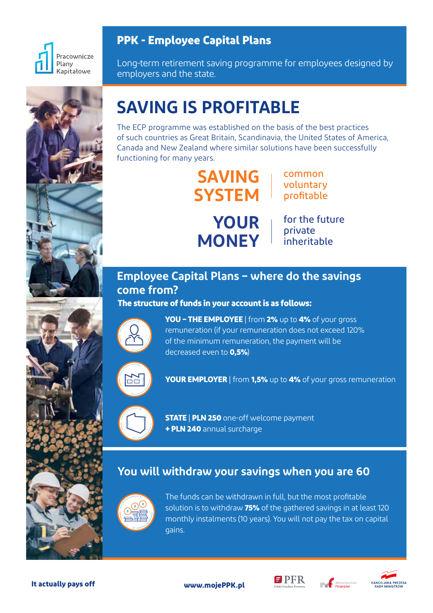

### **PPK - Employee Capital Plans**

Long-term retirement saving programme for employees designed by employers and the state.



# **SAVING IS PROFITABLE**

The ECP programme was established on the basis of the best practices of such countries as Great Britain, Scandinavia, the United States of America, Canada and New Zealand where similar solutions have been successfully functioning for many years.

> **SAVING SYSTEM** profitable

common voluntary



**YOUR** | for the future private inheritable

# **Employee Capital Plans – where do the savings come from?**

#### **The structure of funds in your account is as follows:**



**YOU – THE EMPLOYEE** | from **2%** up to **4%** of your gross remuneration (if your remuneration does not exceed 120% of the minimum remuneration, the payment will be decreased even to **0,5%**)



**YOUR EMPLOYER** | from **1,5%** up to **4%** of your gross remuneration

**STATE** | **PLN 250** one-off welcome payment **+ PLN 240** annual surcharge

## **You will withdraw your savings when you are 60**



The funds can be withdrawn in full, but the most profitable solution is to withdraw **75%** of the gathered savings in at least 120 monthly instalments (10 years). You will not pay the tax on capital gains.